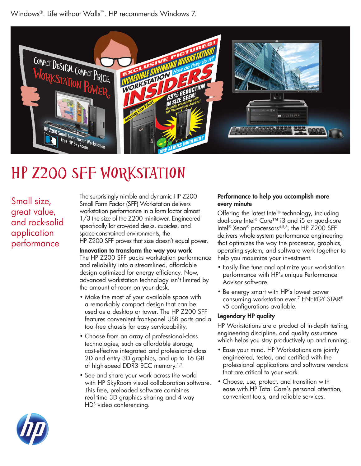Windows®. Life without Walls™. HP recommends Windows 7.



## HP Z200 SFF WORKSTATION

Small size, great value, and rock-solid application performance

The surprisingly nimble and dynamic HP Z200 Small Form Factor (SFF) Workstation delivers workstation performance in a form factor almost 1/3 the size of the Z200 minitower. Engineered specifically for crowded desks, cubicles, and space-constrained environments, the HP Z200 SFF proves that size doesn't equal power.

**Innovation to transform the way you work** The HP Z200 SFF packs workstation performance and reliability into a streamlined, affordable design optimized for energy efficiency. Now, advanced workstation technology isn't limited by the amount of room on your desk.

- Make the most of your available space with a remarkably compact design that can be used as a desktop or tower. The HP Z200 SFF features convenient front-panel USB ports and a tool-free chassis for easy serviceability.
- Choose from an array of professional-class technologies, such as affordable storage, cost-effective integrated and professional-class 2D and entry 3D graphics, and up to 16 GB of high-speed DDR3 ECC memory.<sup>1,2</sup>
- See and share your work across the world with HP SkyRoom visual collaboration software. This free, preloaded software combines real-time 3D graphics sharing and 4-way HD3 video conferencing.

## **Performance to help you accomplish more every minute**

Offering the latest Intel® technology, including dual-core Intel® Core™ i3 and i5 or quad-core Intel® Xeon® processors4,5,6, the HP Z200 SFF delivers whole-system performance engineering that optimizes the way the processor, graphics, operating system, and software work together to help you maximize your investment.

- Easily fine tune and optimize your workstation performance with HP's unique Performance Advisor software.
- Be energy smart with HP's lowest power consuming workstation ever.7 ENERGY STAR® v5 configurations available.

## **Legendary HP quality**

HP Workstations are a product of in-depth testing, engineering discipline, and quality assurance which helps you stay productively up and running.

- Ease your mind. HP Workstations are jointly engineered, tested, and certified with the professional applications and software vendors that are critical to your work.
- Choose, use, protect, and transition with ease with HP Total Care's personal attention, convenient tools, and reliable services.